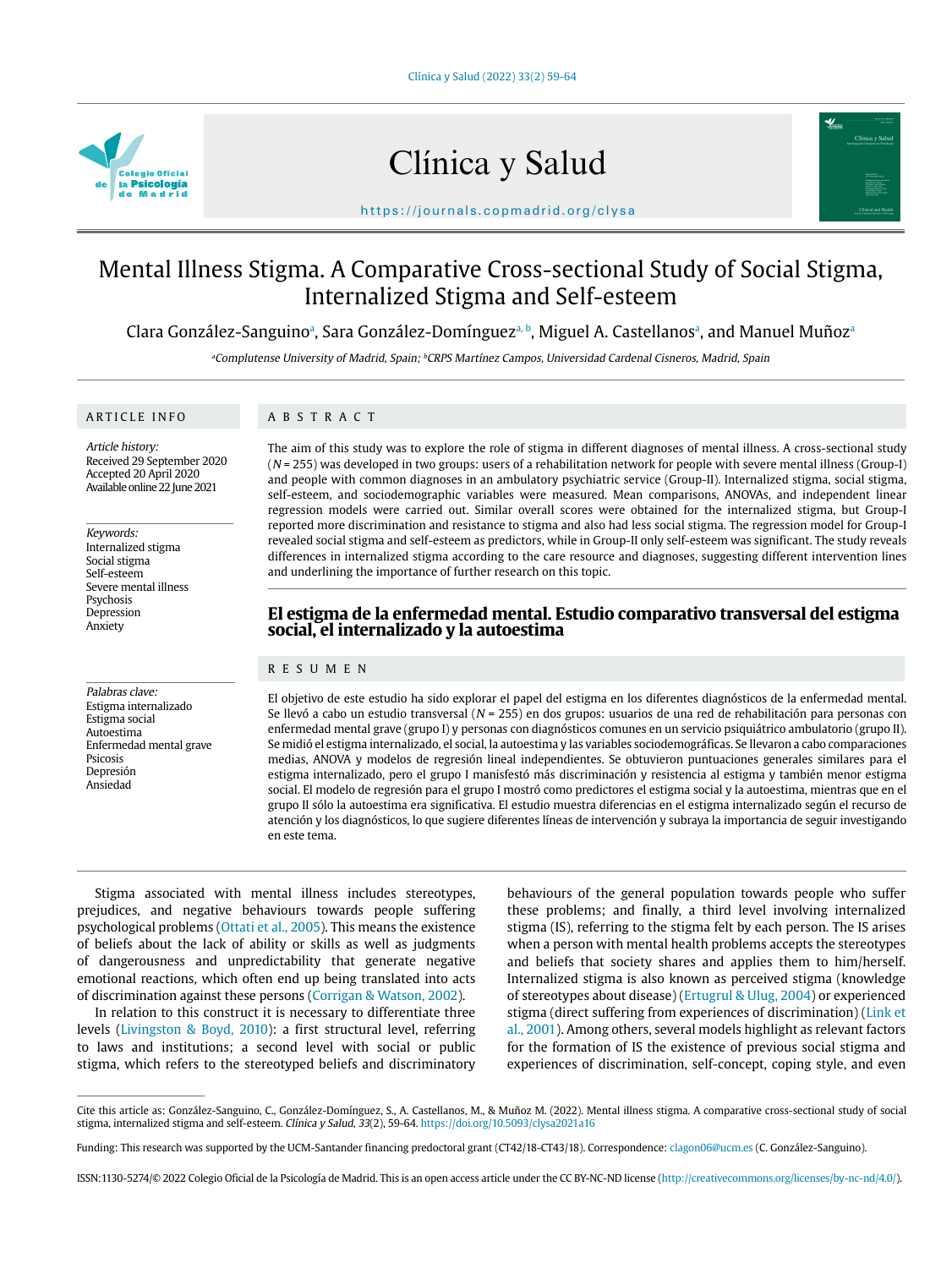

# Clínica y Salud



https://journals.copmadrid.org/clysa

# Mental Illness Stigma. A Comparative Cross-sectional Study of Social Stigma, Internalized Stigma and Self-esteem

Clara González-Sanguinoª, Sara González-Domínguezª þ, Miguel A. Castellanosª, and Manuel Muñozª

aComplutense University of Madrid, Spain; <sup>b</sup>CRPS Martínez Campos, Universidad Cardenal Cisneros, Madrid, Spain

#### ARTICLE INFO

# ABSTRACT

Article history: Received 29 September 2020 Accepted 20 April 2020 Available online 22 June 2021

Keywords: Internalized stigma Social stigma Self-esteem Severe mental illness Psychosis Depression Anxiety

Palabras clave: Estigma internalizado Estigma social Autoestima Enfermedad mental grave Psicosis Depresión Ansiedad

The aim of this study was to explore the role of stigma in different diagnoses of mental illness. A cross-sectional study  $(N = 255)$  was developed in two groups: users of a rehabilitation network for people with severe mental illness (Group-I) and people with common diagnoses in an ambulatory psychiatric service (Group-II). Internalized stigma, social stigma, self-esteem, and sociodemographic variables were measured. Mean comparisons, ANOVAs, and independent linear regression models were carried out. Similar overall scores were obtained for the internalized stigma, but Group-I reported more discrimination and resistance to stigma and also had less social stigma. The regression model for Group-I revealed social stigma and self-esteem as predictors, while in Group-II only self-esteem was significant. The study reveals differences in internalized stigma according to the care resource and diagnoses, suggesting different intervention lines and underlining the importance of further research on this topic.

# **El estigma de la enfermedad mental. Estudio comparativo transversal del estigma social, el internalizado y la autoestima**

# RESUMEN

El objetivo de este estudio ha sido explorar el papel del estigma en los diferentes diagnósticos de la enfermedad mental. Se llevó a cabo un estudio transversal ( $N = 255$ ) en dos grupos: usuarios de una red de rehabilitación para personas con enfermedad mental grave (grupo I) y personas con diagnósticos comunes en un servicio psiquiátrico ambulatorio (grupo II). Se midió el estigma internalizado, el social, la autoestima y las variables sociodemográficas. Se llevaron a cabo comparaciones medias, ANOVA y modelos de regresión lineal independientes. Se obtuvieron puntuaciones generales similares para el estigma internalizado, pero el grupo I manisfestó más discriminación y resistencia al estigma y también menor estigma social. El modelo de regresión para el grupo I mostró como predictores el estigma social y la autoestima, mientras que en el grupo II sólo la autoestima era significativa. El estudio muestra diferencias en el estigma internalizado según el recurso de atención y los diagnósticos, lo que sugiere diferentes líneas de intervención y subraya la importancia de seguir investigando en este tema.

Stigma associated with mental illness includes stereotypes, prejudices, and negative behaviours towards people suffering psychological problems (Ottati et al., 2005). This means the existence of beliefs about the lack of ability or skills as well as judgments of dangerousness and unpredictability that generate negative emotional reactions, which often end up being translated into acts of discrimination against these persons (Corrigan & Watson, 2002).

In relation to this construct it is necessary to differentiate three levels (Livingston & Boyd, 2010): a first structural level, referring to laws and institutions; a second level with social or public stigma, which refers to the stereotyped beliefs and discriminatory behaviours of the general population towards people who suffer these problems; and finally, a third level involving internalized stigma (IS), referring to the stigma felt by each person. The IS arises when a person with mental health problems accepts the stereotypes and beliefs that society shares and applies them to him/herself. Internalized stigma is also known as perceived stigma (knowledge of stereotypes about disease) (Ertugrul & Ulug, 2004) or experienced stigma (direct suffering from experiences of discrimination) (Link et al., 2001). Among others, several models highlight as relevant factors for the formation of IS the existence of previous social stigma and experiences of discrimination, self-concept, coping style, and even

Cite this article as: González-Sanguino, C., González-Domínguez, S., A. Castellanos, M., & Muñoz M. (2022). Mental illness stigma. A comparative cross-sectional study of social stigma, internalized stigma and self-esteem. Clínica y Salud, 33(2), 59-64. https://doi.org/10.5093/clysa2021a16

Funding: This research was supported by the UCM-Santander financing predoctoral grant (CT42/18-CT43/18). Correspondence: clagon06@ucm.es (C. González-Sanguino).

ISSN:1130-5274/© 2022 Colegio Oficial de la Psicología de Madrid. This is an open access article under the CC BY-NC-ND license (http://creativecommons.org/licenses/by-nc-nd/4.0/).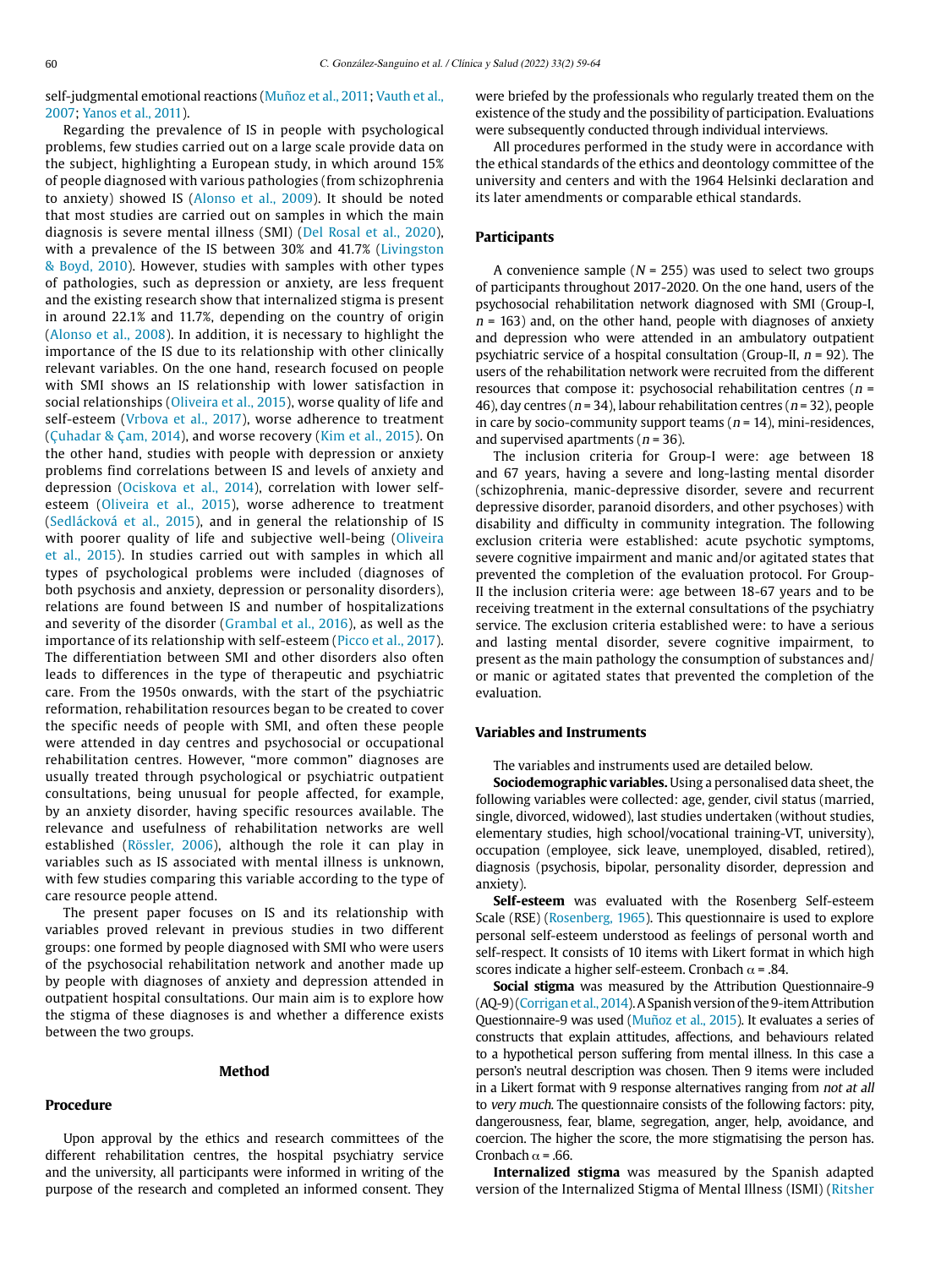self-judgmental emotional reactions (Muñoz et al., 2011; Vauth et al., 2007; Yanos et al., 2011).

Regarding the prevalence of IS in people with psychological problems, few studies carried out on a large scale provide data on the subject, highlighting a European study, in which around 15% of people diagnosed with various pathologies (from schizophrenia to anxiety) showed IS (Alonso et al., 2009). It should be noted that most studies are carried out on samples in which the main diagnosis is severe mental illness (SMI) (Del Rosal et al., 2020), with a prevalence of the IS between 30% and 41.7% (Livingston & Boyd, 2010). However, studies with samples with other types of pathologies, such as depression or anxiety, are less frequent and the existing research show that internalized stigma is present in around 22.1% and 11.7%, depending on the country of origin (Alonso et al., 2008). In addition, it is necessary to highlight the importance of the IS due to its relationship with other clinically relevant variables. On the one hand, research focused on people with SMI shows an IS relationship with lower satisfaction in social relationships (Oliveira et al., 2015), worse quality of life and self-esteem (Vrbova et al., 2017), worse adherence to treatment (Çuhadar & Çam, 2014), and worse recovery (Kim et al., 2015). On the other hand, studies with people with depression or anxiety problems find correlations between IS and levels of anxiety and depression (Ociskova et al., 2014), correlation with lower selfesteem (Oliveira et al., 2015), worse adherence to treatment (Sedlácková et al., 2015), and in general the relationship of IS with poorer quality of life and subjective well-being (Oliveira et al., 2015). In studies carried out with samples in which all types of psychological problems were included (diagnoses of both psychosis and anxiety, depression or personality disorders), relations are found between IS and number of hospitalizations and severity of the disorder (Grambal et al., 2016), as well as the importance of its relationship with self-esteem (Picco et al., 2017). The differentiation between SMI and other disorders also often leads to differences in the type of therapeutic and psychiatric care. From the 1950s onwards, with the start of the psychiatric reformation, rehabilitation resources began to be created to cover the specific needs of people with SMI, and often these people were attended in day centres and psychosocial or occupational rehabilitation centres. However, "more common" diagnoses are usually treated through psychological or psychiatric outpatient consultations, being unusual for people affected, for example, by an anxiety disorder, having specific resources available. The relevance and usefulness of rehabilitation networks are well established (Rössler, 2006), although the role it can play in variables such as IS associated with mental illness is unknown, with few studies comparing this variable according to the type of care resource people attend.

The present paper focuses on IS and its relationship with variables proved relevant in previous studies in two different groups: one formed by people diagnosed with SMI who were users of the psychosocial rehabilitation network and another made up by people with diagnoses of anxiety and depression attended in outpatient hospital consultations. Our main aim is to explore how the stigma of these diagnoses is and whether a difference exists between the two groups.

#### **Method**

#### **Procedure**

Upon approval by the ethics and research committees of the different rehabilitation centres, the hospital psychiatry service and the university, all participants were informed in writing of the purpose of the research and completed an informed consent. They were briefed by the professionals who regularly treated them on the existence of the study and the possibility of participation. Evaluations were subsequently conducted through individual interviews.

All procedures performed in the study were in accordance with the ethical standards of the ethics and deontology committee of the university and centers and with the 1964 Helsinki declaration and its later amendments or comparable ethical standards.

#### **Participants**

A convenience sample ( $N = 255$ ) was used to select two groups of participants throughout 2017-2020. On the one hand, users of the psychosocial rehabilitation network diagnosed with SMI (Group-I,  $n = 163$ ) and, on the other hand, people with diagnoses of anxiety and depression who were attended in an ambulatory outpatient psychiatric service of a hospital consultation (Group-II,  $n = 92$ ). The users of the rehabilitation network were recruited from the different resources that compose it: psychosocial rehabilitation centres ( $n =$ 46), day centres ( $n = 34$ ), labour rehabilitation centres ( $n = 32$ ), people in care by socio-community support teams ( $n = 14$ ), mini-residences, and supervised apartments ( $n = 36$ ).

The inclusion criteria for Group-I were: age between 18 and 67 years, having a severe and long-lasting mental disorder (schizophrenia, manic-depressive disorder, severe and recurrent depressive disorder, paranoid disorders, and other psychoses) with disability and difficulty in community integration. The following exclusion criteria were established: acute psychotic symptoms, severe cognitive impairment and manic and/or agitated states that prevented the completion of the evaluation protocol. For Group-II the inclusion criteria were: age between 18-67 years and to be receiving treatment in the external consultations of the psychiatry service. The exclusion criteria established were: to have a serious and lasting mental disorder, severe cognitive impairment, to present as the main pathology the consumption of substances and/ or manic or agitated states that prevented the completion of the evaluation.

# **Variables and Instruments**

The variables and instruments used are detailed below.

**Sociodemographic variables.** Using a personalised data sheet, the following variables were collected: age, gender, civil status (married, single, divorced, widowed), last studies undertaken (without studies, elementary studies, high school/vocational training-VT, university), occupation (employee, sick leave, unemployed, disabled, retired), diagnosis (psychosis, bipolar, personality disorder, depression and anxiety).

**Self-esteem** was evaluated with the Rosenberg Self-esteem Scale (RSE) (Rosenberg, 1965). This questionnaire is used to explore personal self-esteem understood as feelings of personal worth and self-respect. It consists of 10 items with Likert format in which high scores indicate a higher self-esteem. Cronbach  $\alpha$  = .84.

**Social stigma** was measured by the Attribution Questionnaire-9 (AQ-9) (Corrigan et al., 2014). A Spanish version of the 9-item Attribution Questionnaire-9 was used (Muñoz et al., 2015). It evaluates a series of constructs that explain attitudes, affections, and behaviours related to a hypothetical person suffering from mental illness. In this case a person's neutral description was chosen. Then 9 items were included in a Likert format with 9 response alternatives ranging from not at all to very much. The questionnaire consists of the following factors: pity, dangerousness, fear, blame, segregation, anger, help, avoidance, and coercion. The higher the score, the more stigmatising the person has. Cronbach  $\alpha$  = .66.

**Internalized stigma** was measured by the Spanish adapted version of the Internalized Stigma of Mental Illness (ISMI) (Ritsher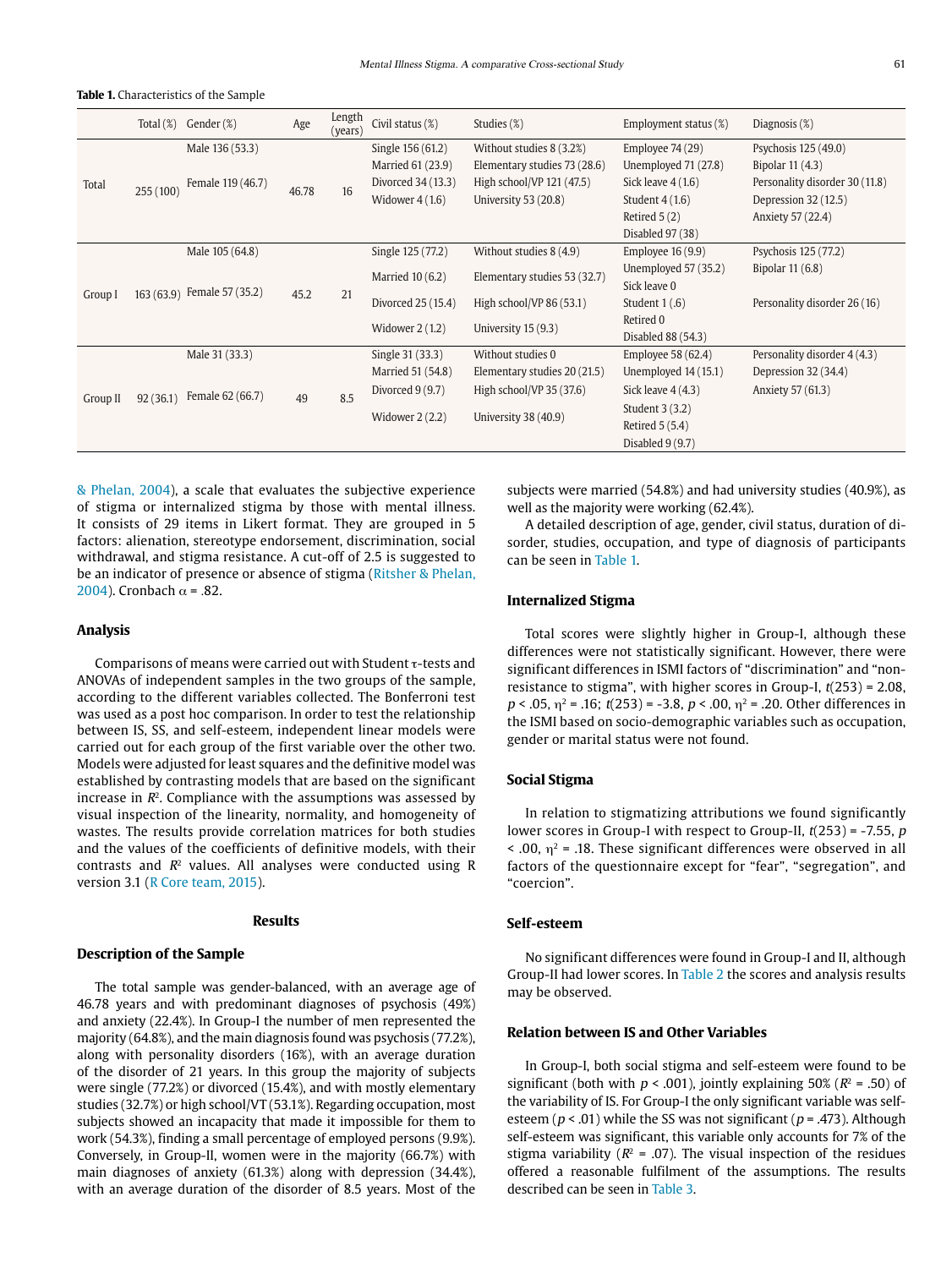|          |           | Total (%) Gender (%)        | Age   | Length<br>(years) | Civil status (%)   | Studies (%)                  | Employment status (%) | Diagnosis (%)                  |
|----------|-----------|-----------------------------|-------|-------------------|--------------------|------------------------------|-----------------------|--------------------------------|
| Total    | 255 (100) | Male 136 (53.3)             |       |                   | Single 156 (61.2)  | Without studies 8 (3.2%)     | Employee 74 (29)      | Psychosis 125 (49.0)           |
|          |           | Female 119 (46.7)           |       | 16                | Married 61 (23.9)  | Elementary studies 73 (28.6) | Unemployed 71 (27.8)  | Bipolar 11 (4.3)               |
|          |           |                             | 46.78 |                   | Divorced 34 (13.3) | High school/VP 121 (47.5)    | Sick leave $4(1.6)$   | Personality disorder 30 (11.8) |
|          |           |                             |       |                   | Widower $4(1.6)$   | University 53 (20.8)         | Student $4(1.6)$      | Depression 32 (12.5)           |
|          |           |                             |       |                   |                    |                              | Retired $5(2)$        | Anxiety 57 (22.4)              |
|          |           |                             |       |                   |                    |                              | Disabled 97 (38)      |                                |
| Group I  |           | Male 105 (64.8)             |       |                   | Single 125 (77.2)  | Without studies 8 (4.9)      | Employee $16(9.9)$    | Psychosis 125 (77.2)           |
|          |           | 163 (63.9) Female 57 (35.2) |       | 21                | Married $10(6.2)$  | Elementary studies 53 (32.7) | Unemployed 57 (35.2)  | Bipolar 11 (6.8)               |
|          |           |                             | 45.2  |                   |                    |                              | Sick leave 0          |                                |
|          |           |                             |       |                   | Divorced 25 (15.4) | High school/VP $86(53.1)$    | Student $1(.6)$       | Personality disorder 26 (16)   |
|          |           |                             |       |                   | Widower $2(1.2)$   | University 15 (9.3)          | Retired 0             |                                |
|          |           |                             |       |                   |                    |                              | Disabled 88 (54.3)    |                                |
| Group II |           | Male 31 (33.3)              |       | 8.5               | Single 31 (33.3)   | Without studies 0            | Employee 58 (62.4)    | Personality disorder 4 (4.3)   |
|          | 92(36.1)  | Female 62 (66.7)            |       |                   | Married 51 (54.8)  | Elementary studies 20 (21.5) | Unemployed 14 (15.1)  | Depression 32 (34.4)           |
|          |           |                             | 49    |                   | Divorced $9(9.7)$  | High school/VP 35 (37.6)     | Sick leave $4(4.3)$   | Anxiety 57 (61.3)              |
|          |           |                             |       |                   | Widower $2(2.2)$   | University 38 (40.9)         | Student 3 (3.2)       |                                |
|          |           |                             |       |                   |                    |                              | Retired 5 (5.4)       |                                |
|          |           |                             |       |                   |                    |                              | Disabled $9(9.7)$     |                                |

& Phelan, 2004), a scale that evaluates the subjective experience of stigma or internalized stigma by those with mental illness. It consists of 29 items in Likert format. They are grouped in 5 factors: alienation, stereotype endorsement, discrimination, social withdrawal, and stigma resistance. A cut-off of 2.5 is suggested to be an indicator of presence or absence of stigma (Ritsher & Phelan, 2004). Cronbach  $\alpha$  = .82.

# **Analysis**

Comparisons of means were carried out with Student  $\tau$ -tests and ANOVAs of independent samples in the two groups of the sample, according to the different variables collected. The Bonferroni test was used as a post hoc comparison. In order to test the relationship between IS, SS, and self-esteem, independent linear models were carried out for each group of the first variable over the other two. Models were adjusted for least squares and the definitive model was established by contrasting models that are based on the significant increase in  $R<sup>2</sup>$ . Compliance with the assumptions was assessed by visual inspection of the linearity, normality, and homogeneity of wastes. The results provide correlation matrices for both studies and the values of the coefficients of definitive models, with their contrasts and  $R<sup>2</sup>$  values. All analyses were conducted using R version 3.1 (R Core team, 2015).

#### **Results**

#### **Description of the Sample**

The total sample was gender-balanced, with an average age of 46.78 years and with predominant diagnoses of psychosis (49%) and anxiety (22.4%). In Group-I the number of men represented the majority (64.8%), and the main diagnosis found was psychosis (77.2%), along with personality disorders (16%), with an average duration of the disorder of 21 years. In this group the majority of subjects were single (77.2%) or divorced (15.4%), and with mostly elementary studies (32.7%) or high school/VT (53.1%). Regarding occupation, most subjects showed an incapacity that made it impossible for them to work (54.3%), finding a small percentage of employed persons (9.9%). Conversely, in Group-II, women were in the majority (66.7%) with main diagnoses of anxiety (61.3%) along with depression (34.4%), with an average duration of the disorder of 8.5 years. Most of the

subjects were married (54.8%) and had university studies (40.9%), as well as the majority were working (62.4%).

A detailed description of age, gender, civil status, duration of disorder, studies, occupation, and type of diagnosis of participants can be seen in Table 1.

# **Internalized Stigma**

Total scores were slightly higher in Group-I, although these differences were not statistically significant. However, there were significant differences in ISMI factors of "discrimination" and "nonresistance to stigma", with higher scores in Group-I,  $t(253) = 2.08$ ,  $p < .05$ ,  $\eta^2 = .16$ ;  $t(253) = -3.8$ ,  $p < .00$ ,  $\eta^2 = .20$ . Other differences in the ISMI based on socio-demographic variables such as occupation, gender or marital status were not found.

# **Social Stigma**

In relation to stigmatizing attributions we found significantly lower scores in Group-I with respect to Group-II,  $t(253)$  = -7.55, p  $\leq$  .00,  $\eta$ <sup>2</sup> = .18. These significant differences were observed in all factors of the questionnaire except for "fear", "segregation", and "coercion".

# **Self-esteem**

No significant differences were found in Group-I and II, although Group-II had lower scores. In Table 2 the scores and analysis results may be observed.

# **Relation between IS and Other Variables**

In Group-I, both social stigma and self-esteem were found to be significant (both with  $p < .001$ ), jointly explaining 50% ( $R<sup>2</sup> = .50$ ) of the variability of IS. For Group-I the only significant variable was selfesteem ( $p < .01$ ) while the SS was not significant ( $p = .473$ ). Although self-esteem was significant, this variable only accounts for 7% of the stigma variability ( $R^2$  = .07). The visual inspection of the residues offered a reasonable fulfilment of the assumptions. The results described can be seen in Table 3.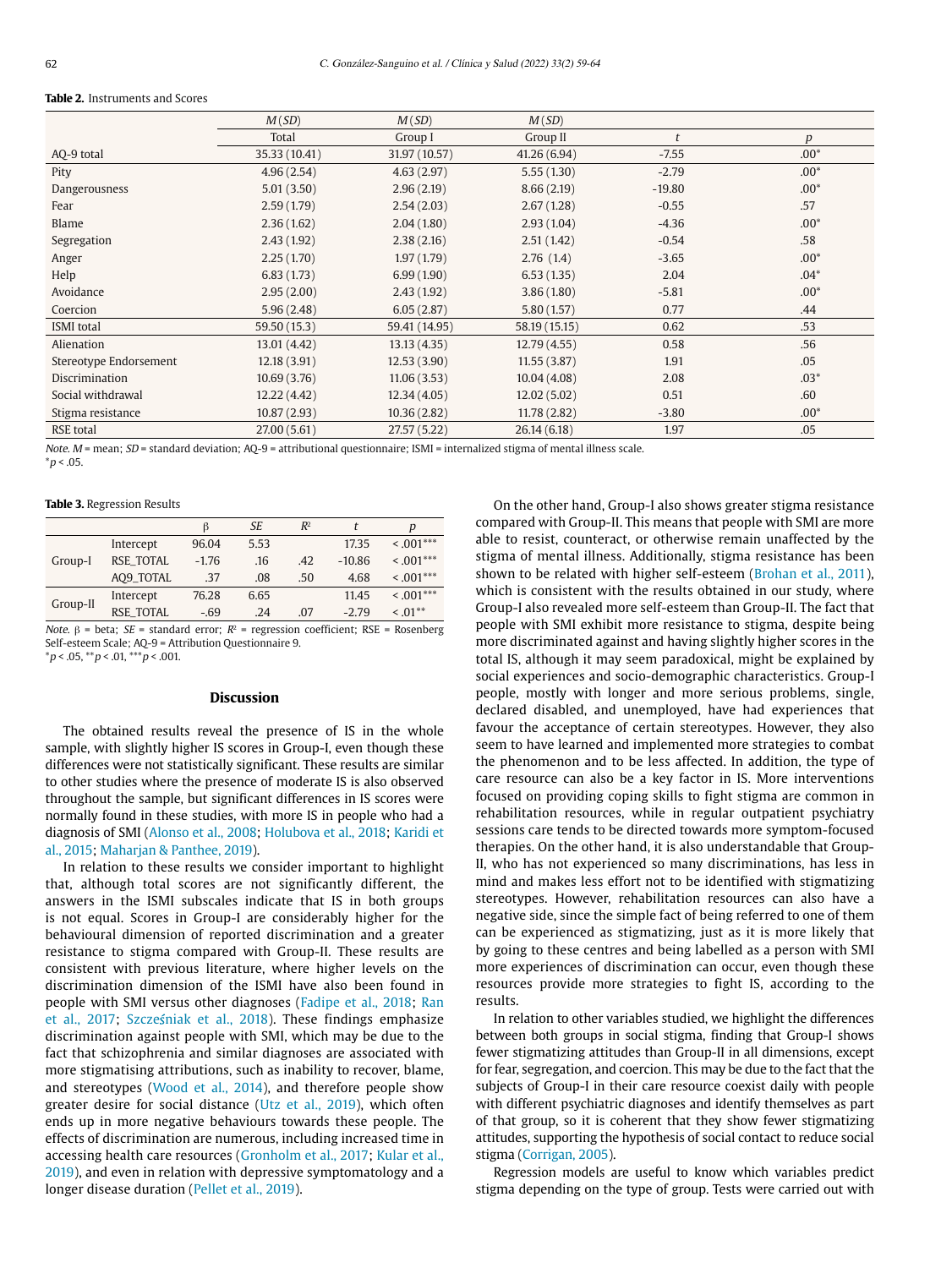#### **Table 2.** Instruments and Scores

|                        | M(SD)         | M(SD)         | M(SD)         |          |        |
|------------------------|---------------|---------------|---------------|----------|--------|
|                        | Total         | Group I       | Group II      | t        | p      |
| AQ-9 total             | 35.33 (10.41) | 31.97 (10.57) | 41.26(6.94)   | $-7.55$  | $.00*$ |
| Pity                   | 4.96(2.54)    | 4.63(2.97)    | 5.55(1.30)    | $-2.79$  | $.00*$ |
| Dangerousness          | 5.01(3.50)    | 2.96(2.19)    | 8.66(2.19)    | $-19.80$ | $.00*$ |
| Fear                   | 2.59(1.79)    | 2.54(2.03)    | 2.67(1.28)    | $-0.55$  | .57    |
| Blame                  | 2.36(1.62)    | 2.04(1.80)    | 2.93(1.04)    | $-4.36$  | $.00*$ |
| Segregation            | 2.43(1.92)    | 2.38(2.16)    | 2.51(1.42)    | $-0.54$  | .58    |
| Anger                  | 2.25(1.70)    | 1.97(1.79)    | 2.76(1.4)     | $-3.65$  | $.00*$ |
| Help                   | 6.83(1.73)    | 6.99(1.90)    | 6.53(1.35)    | 2.04     | $.04*$ |
| Avoidance              | 2.95(2.00)    | 2.43(1.92)    | 3.86(1.80)    | $-5.81$  | $.00*$ |
| Coercion               | 5.96(2.48)    | 6.05(2.87)    | 5.80(1.57)    | 0.77     | .44    |
| <b>ISMI</b> total      | 59.50 (15.3)  | 59.41 (14.95) | 58.19 (15.15) | 0.62     | .53    |
| Alienation             | 13.01 (4.42)  | 13.13(4.35)   | 12.79(4.55)   | 0.58     | .56    |
| Stereotype Endorsement | 12.18(3.91)   | 12.53(3.90)   | 11.55(3.87)   | 1.91     | .05    |
| <b>Discrimination</b>  | 10.69(3.76)   | 11.06(3.53)   | 10.04(4.08)   | 2.08     | $.03*$ |
| Social withdrawal      | 12.22(4.42)   | 12.34(4.05)   | 12.02(5.02)   | 0.51     | .60    |
| Stigma resistance      | 10.87(2.93)   | 10.36(2.82)   | 11.78 (2.82)  | $-3.80$  | $.00*$ |
| <b>RSE</b> total       | 27.00(5.61)   | 27.57 (5.22)  | 26.14(6.18)   | 1.97     | .05    |

Note. M = mean; SD = standard deviation; AO-9 = attributional questionnaire; ISMI = internalized stigma of mental illness scale.  $*_{p}$  < .05.

#### **Table 3.** Regression Results

|                  | ß       | <b>SE</b> | $R^2$ |          | D              |
|------------------|---------|-----------|-------|----------|----------------|
| Intercept        | 96.04   | 5.53      |       | 17.35    | $\leq .001***$ |
| <b>RSE TOTAL</b> | $-1.76$ | .16       | .42   | $-10.86$ | $\leq .001***$ |
| AO9_TOTAL        | .37     | .08       | .50   | 4.68     | $\leq .001***$ |
| Intercept        | 76.28   | 6.65      |       | 11.45    | $\leq .001***$ |
| <b>RSE TOTAL</b> | $-.69$  | .24       | .07   | $-2.79$  | $\leq .01$ **  |
|                  |         |           |       |          |                |

Note. β = beta; SE = standard error;  $R^2$  = regression coefficient; RSE = Rosenberg Self-esteem Scale; AQ-9 = Attribution Questionnaire 9.  $*p < .05, **p < .01, **p < .001.$ 

#### **Discussion**

The obtained results reveal the presence of IS in the whole sample, with slightly higher IS scores in Group-I, even though these differences were not statistically significant. These results are similar to other studies where the presence of moderate IS is also observed throughout the sample, but significant differences in IS scores were normally found in these studies, with more IS in people who had a diagnosis of SMI (Alonso et al., 2008; Holubova et al., 2018; Karidi et al., 2015; Maharjan & Panthee, 2019).

In relation to these results we consider important to highlight that, although total scores are not significantly different, the answers in the ISMI subscales indicate that IS in both groups is not equal. Scores in Group-I are considerably higher for the behavioural dimension of reported discrimination and a greater resistance to stigma compared with Group-II. These results are consistent with previous literature, where higher levels on the discrimination dimension of the ISMI have also been found in people with SMI versus other diagnoses (Fadipe et al., 2018; Ran et al., 2017; Szcześniak et al., 2018). These findings emphasize discrimination against people with SMI, which may be due to the fact that schizophrenia and similar diagnoses are associated with more stigmatising attributions, such as inability to recover, blame, and stereotypes (Wood et al., 2014), and therefore people show greater desire for social distance (Utz et al., 2019), which often ends up in more negative behaviours towards these people. The effects of discrimination are numerous, including increased time in accessing health care resources (Gronholm et al., 2017; Kular et al., 2019), and even in relation with depressive symptomatology and a longer disease duration (Pellet et al., 2019).

On the other hand, Group-I also shows greater stigma resistance compared with Group-II. This means that people with SMI are more able to resist, counteract, or otherwise remain unaffected by the stigma of mental illness. Additionally, stigma resistance has been shown to be related with higher self-esteem (Brohan et al., 2011), which is consistent with the results obtained in our study, where Group-I also revealed more self-esteem than Group-II. The fact that people with SMI exhibit more resistance to stigma, despite being more discriminated against and having slightly higher scores in the total IS, although it may seem paradoxical, might be explained by social experiences and socio-demographic characteristics. Group-I people, mostly with longer and more serious problems, single, declared disabled, and unemployed, have had experiences that favour the acceptance of certain stereotypes. However, they also seem to have learned and implemented more strategies to combat the phenomenon and to be less affected. In addition, the type of care resource can also be a key factor in IS. More interventions focused on providing coping skills to fight stigma are common in rehabilitation resources, while in regular outpatient psychiatry sessions care tends to be directed towards more symptom-focused therapies. On the other hand, it is also understandable that Group-II, who has not experienced so many discriminations, has less in mind and makes less effort not to be identified with stigmatizing stereotypes. However, rehabilitation resources can also have a negative side, since the simple fact of being referred to one of them can be experienced as stigmatizing, just as it is more likely that by going to these centres and being labelled as a person with SMI more experiences of discrimination can occur, even though these resources provide more strategies to fight IS, according to the results.

In relation to other variables studied, we highlight the differences between both groups in social stigma, finding that Group-I shows fewer stigmatizing attitudes than Group-II in all dimensions, except for fear, segregation, and coercion. This may be due to the fact that the subjects of Group-I in their care resource coexist daily with people with different psychiatric diagnoses and identify themselves as part of that group, so it is coherent that they show fewer stigmatizing attitudes, supporting the hypothesis of social contact to reduce social stigma (Corrigan, 2005).

Regression models are useful to know which variables predict stigma depending on the type of group. Tests were carried out with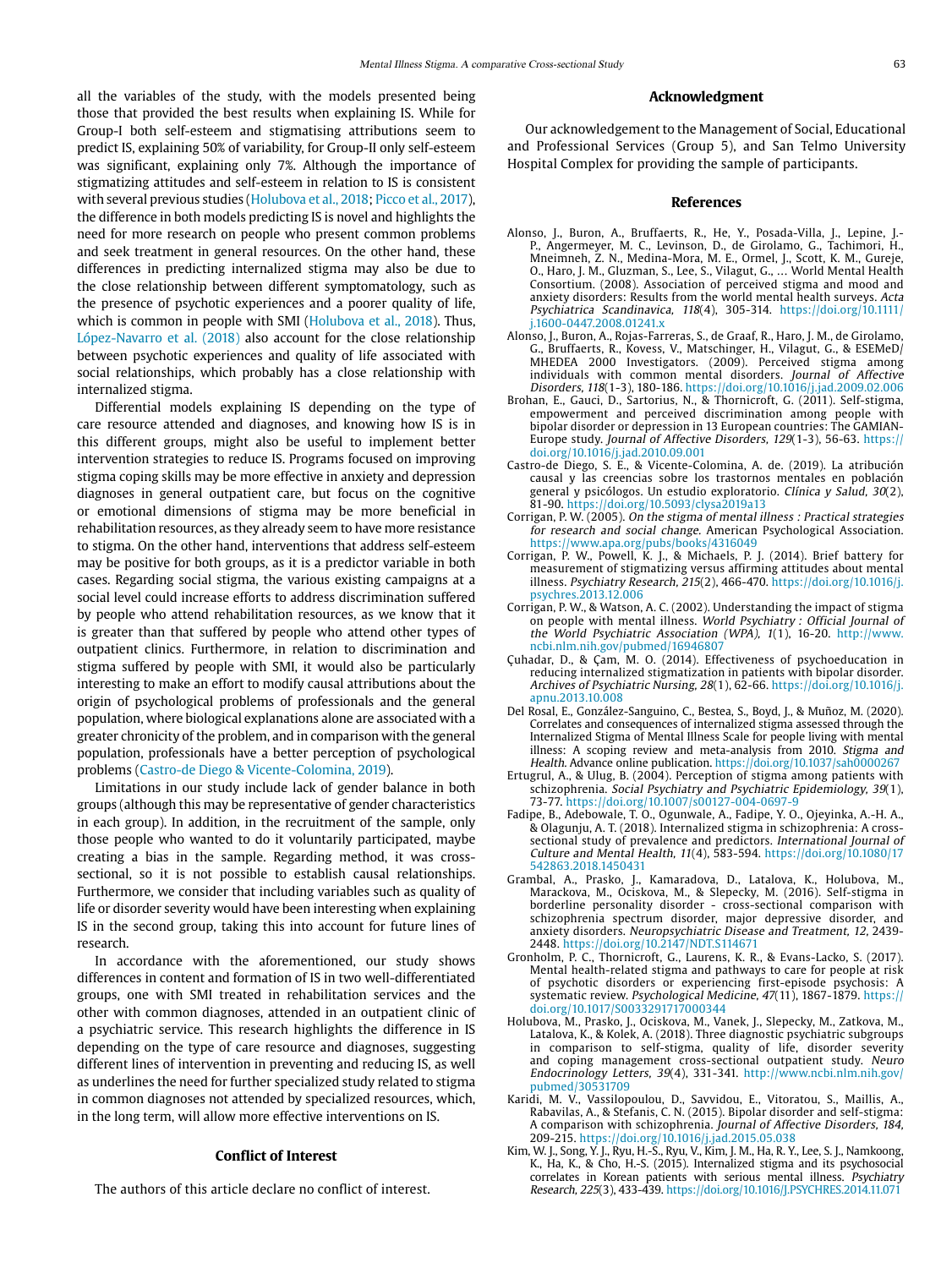all the variables of the study, with the models presented being those that provided the best results when explaining IS. While for Group-I both self-esteem and stigmatising attributions seem to predict IS, explaining 50% of variability, for Group-II only self-esteem was significant, explaining only 7%. Although the importance of stigmatizing attitudes and self-esteem in relation to IS is consistent with several previous studies (Holubova et al., 2018; Picco et al., 2017), the difference in both models predicting IS is novel and highlights the need for more research on people who present common problems and seek treatment in general resources. On the other hand, these differences in predicting internalized stigma may also be due to the close relationship between different symptomatology, such as the presence of psychotic experiences and a poorer quality of life, which is common in people with SMI (Holubova et al., 2018). Thus, López-Navarro et al. (2018) also account for the close relationship between psychotic experiences and quality of life associated with social relationships, which probably has a close relationship with internalized stigma.

Differential models explaining IS depending on the type of care resource attended and diagnoses, and knowing how IS is in this different groups, might also be useful to implement better intervention strategies to reduce IS. Programs focused on improving stigma coping skills may be more effective in anxiety and depression diagnoses in general outpatient care, but focus on the cognitive or emotional dimensions of stigma may be more beneficial in rehabilitation resources, as they already seem to have more resistance to stigma. On the other hand, interventions that address self-esteem may be positive for both groups, as it is a predictor variable in both cases. Regarding social stigma, the various existing campaigns at a social level could increase efforts to address discrimination suffered by people who attend rehabilitation resources, as we know that it is greater than that suffered by people who attend other types of outpatient clinics. Furthermore, in relation to discrimination and stigma suffered by people with SMI, it would also be particularly interesting to make an effort to modify causal attributions about the origin of psychological problems of professionals and the general population, where biological explanations alone are associated with a greater chronicity of the problem, and in comparison with the general population, professionals have a better perception of psychological problems (Castro-de Diego & Vicente-Colomina, 2019).

Limitations in our study include lack of gender balance in both groups (although this may be representative of gender characteristics in each group). In addition, in the recruitment of the sample, only those people who wanted to do it voluntarily participated, maybe creating a bias in the sample. Regarding method, it was crosssectional, so it is not possible to establish causal relationships. Furthermore, we consider that including variables such as quality of life or disorder severity would have been interesting when explaining IS in the second group, taking this into account for future lines of research.

In accordance with the aforementioned, our study shows differences in content and formation of IS in two well-differentiated groups, one with SMI treated in rehabilitation services and the other with common diagnoses, attended in an outpatient clinic of a psychiatric service. This research highlights the difference in IS depending on the type of care resource and diagnoses, suggesting different lines of intervention in preventing and reducing IS, as well as underlines the need for further specialized study related to stigma in common diagnoses not attended by specialized resources, which, in the long term, will allow more effective interventions on IS.

# **Conflict of Interest**

The authors of this article declare no conflict of interest.

# **Acknowledgment**

Our acknowledgement to the Management of Social, Educational and Professional Services (Group 5), and San Telmo University Hospital Complex for providing the sample of participants.

#### **References**

- Alonso, J., Buron, A., Bruffaerts, R., He, Y., Posada-Villa, J., Lepine, J.- P., Angermeyer, M. C., Levinson, D., de Girolamo, G., Tachimori, H., Mneimneh, Z. N., Medina-Mora, M. E., Ormel, J., Scott, K. M., Gureje, O., Haro, J. M., Gluzman, S., Lee, S., Vilagut, G., … World Mental Health Consortium. (2008). Association of perceived stigma and mood and anxiety disorders: Results from the world mental health surveys. Acta Psychiatrica Scandinavica, 118(4), 305-314. [https://doi.org/10.1111/](https://doi.org/10.1111/j.1600-0447.2008.01241.x) [j.1600-0447.2008.01241.x](https://doi.org/10.1111/j.1600-0447.2008.01241.x)
- Alonso, J., Buron, A., Rojas-Farreras, S., de Graaf, R., Haro, J. M., de Girolamo, G., Bruffaerts, R., Kovess, V., Matschinger, H., Vilagut, G., & ESEMeD/ MHEDEA 2000 Investigators. (2009). Perceived stigma among individuals with common mental disorders. Journal of Affective Disorders, 118(1-3), 180-186. https://doi.org/10.1016/j.jad.2009.02.006
- Brohan, E., Gauci, D., Sartorius, N., & Thornicroft, G. (2011). Self-stigma, empowerment and perceived discrimination among people with bipolar disorder or depression in 13 European countries: The GAMIAN-Europe study. Journal of Affective Disorders, 129(1-3), 56-63. https:// doi.org/10.1016/j.jad.2010.09.001
- Castro-de Diego, S. E., & Vicente-Colomina, A. de. (2019). La atribución causal y las creencias sobre los trastornos mentales en población general y psicólogos. Un estudio exploratorio. Clínica y Salud, 30(2), 81-90. https://doi.org/10.5093/clysa2019a13
- Corrigan, P. W. (2005). On the stigma of mental illness : Practical strategies for research and social change. American Psychological Association. https://www.apa.org/pubs/books/4316049
- Corrigan, P. W., Powell, K. J., & Michaels, P. J. (2014). Brief battery for measurement of stigmatizing versus affirming attitudes about mental illness. Psychiatry Research, 215(2), 466-470. [https://doi.org/10.1016/j.](https://doi.org/10.1016/j.psychres.2013.12.006) [psychres.2013.12.006](https://doi.org/10.1016/j.psychres.2013.12.006)
- Corrigan, P. W., & Watson, A. C. (2002). Understanding the impact of stigma on people with mental illness. World Psychiatry : Official Journal of the World Psychiatric Association (WPA), 1(1), 16-20. [http://www.](http://www.ncbi.nlm.nih.gov/pubmed/16946807) [ncbi.nlm.nih.gov/pubmed/16946807](http://www.ncbi.nlm.nih.gov/pubmed/16946807)
- Çuhadar, D., & Çam, M. O. (2014). Effectiveness of psychoeducation in reducing internalized stigmatization in patients with bipolar disorder. Archives of Psychiatric Nursing, 28(1), 62-66. [https://doi.org/10.1016/j.](https://doi.org/10.1016/j.apnu.2013.10.008) [apnu.2013.10.008](https://doi.org/10.1016/j.apnu.2013.10.008)
- Del Rosal, E., González-Sanguino, C., Bestea, S., Boyd, J., & Muñoz, M. (2020). Correlates and consequences of internalized stigma assessed through the Internalized Stigma of Mental Illness Scale for people living with mental illness: A scoping review and meta-analysis from 2010. Stigma and Health. Advance online publication. https://doi.org/10.1037/sah0000267
- Ertugrul, A., & Ulug, B. (2004). Perception of stigma among patients with schizophrenia. Social Psychiatry and Psychiatric Epidemiology, 39(1), 73-77. https://doi.org/10.1007/s00127-004-0697-9
- Fadipe, B., Adebowale, T. O., Ogunwale, A., Fadipe, Y. O., Ojeyinka, A.-H. A., & Olagunju, A. T. (2018). Internalized stigma in schizophrenia: A crosssectional study of prevalence and predictors. International Journal of Culture and Mental Health, 11(4), 583-594. [https://doi.org/10.1080/17](https://doi.org/10.1080/17542863.2018.1450431) [542863.2018.1450431](https://doi.org/10.1080/17542863.2018.1450431)
- Grambal, A., Prasko, J., Kamaradova, D., Latalova, K., Holubova, M., Marackova, M., Ociskova, M., & Slepecky, M. (2016). Self-stigma in borderline personality disorder - cross-sectional comparison with schizophrenia spectrum disorder, major depressive disorder, and anxiety disorders. Neuropsychiatric Disease and Treatment, 12, 2439- 2448. https://doi.org/10.2147/NDT.S114671
- Gronholm, P. C., Thornicroft, G., Laurens, K. R., & Evans-Lacko, S. (2017). Mental health-related stigma and pathways to care for people at risk of psychotic disorders or experiencing first-episode psychosis: A systematic review. Psychological Medicine, 47(11), 1867-1879. https:// doi.org/10.1017/S0033291717000344
- Holubova, M., Prasko, J., Ociskova, M., Vanek, J., Slepecky, M., Zatkova, M., Latalova, K., & Kolek, A. (2018). Three diagnostic psychiatric subgroups in comparison to self-stigma, quality of life, disorder severity and coping management cross-sectional outpatient study. Neuro Endocrinology Letters, 39(4), 331-341. [http://www.ncbi.nlm.nih.gov/](http://www.ncbi.nlm.nih.gov/pubmed/30531709) [pubmed/30531709](http://www.ncbi.nlm.nih.gov/pubmed/30531709)
- Karidi, M. V., Vassilopoulou, D., Savvidou, E., Vitoratou, S., Maillis, A., Rabavilas, A., & Stefanis, C. N. (2015). Bipolar disorder and self-stigma: A comparison with schizophrenia. Journal of Affective Disorders, 184, 209-215. https://doi.org/10.1016/j.jad.2015.05.038
- Kim, W. J., Song, Y. J., Ryu, H.-S., Ryu, V., Kim, J. M., Ha, R. Y., Lee, S. J., Namkoong, K., Ha, K., & Cho, H.-S. (2015). Internalized stigma and its psychosocial correlates in Korean patients with serious mental illness. Psychiatry Research, 225(3), 433-439.<https://doi.org/10.1016/J.PSYCHRES.2014.11.071>